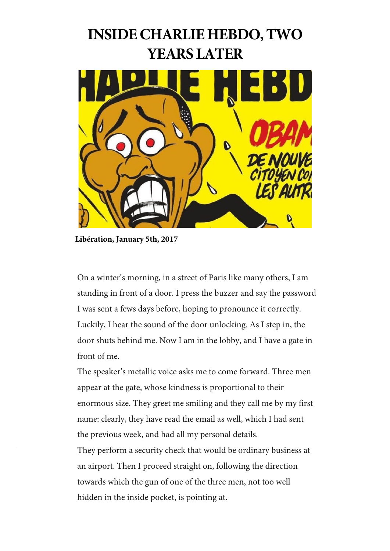# **INSIDE CHARLIE HEBDO, TWO YEARS LATER**



**Libération, January 5th, 2017**

On a winter's morning, in a street of Paris like many others, I am standing in front of a door. I press the buzzer and say the password I was sent a fews days before, hoping to pronounce it correctly. Luckily, I hear the sound of the door unlocking. As I step in, the door shuts behind me. Now I am in the lobby, and I have a gate in front of me.

The speaker's metallic voice asks me to come forward. Three men appear at the gate, whose kindness is proportional to their enormous size. They greet me smiling and they call me by my first name: clearly, they have read the email as well, which I had sent the previous week, and had all my personal details.

They perform a security check that would be ordinary business at an airport. Then I proceed straight on, following the direction towards which the gun of one of the three men, not too well hidden in the inside pocket, is pointing at.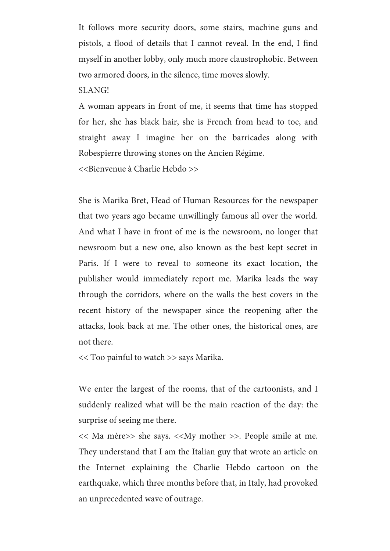It follows more security doors, some stairs, machine guns and pistols, a flood of details that I cannot reveal. In the end, I find myself in another lobby, only much more claustrophobic. Between two armored doors, in the silence, time moves slowly.

SLANG!

A woman appears in front of me, it seems that time has stopped for her, she has black hair, she is French from head to toe, and straight away I imagine her on the barricades along with Robespierre throwing stones on the Ancien Régime. <<Bienvenue à Charlie Hebdo >>

She is Marika Bret, Head of Human Resources for the newspaper that two years ago became unwillingly famous all over the world. And what I have in front of me is the newsroom, no longer that newsroom but a new one, also known as the best kept secret in Paris. If I were to reveal to someone its exact location, the publisher would immediately report me. Marika leads the way through the corridors, where on the walls the best covers in the recent history of the newspaper since the reopening after the attacks, look back at me. The other ones, the historical ones, are not there.

<< Too painful to watch >> says Marika.

We enter the largest of the rooms, that of the cartoonists, and I suddenly realized what will be the main reaction of the day: the surprise of seeing me there.

<< Ma mère>> she says. <<My mother >>. People smile at me. They understand that I am the Italian guy that wrote an article on the Internet explaining the Charlie Hebdo cartoon on the earthquake, which three months before that, in Italy, had provoked an unprecedented wave of outrage.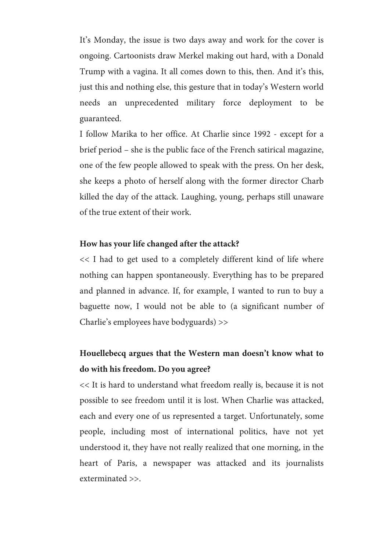It's Monday, the issue is two days away and work for the cover is ongoing. Cartoonists draw Merkel making out hard, with a Donald Trump with a vagina. It all comes down to this, then. And it's this, just this and nothing else, this gesture that in today's Western world needs an unprecedented military force deployment to be guaranteed.

I follow Marika to her office. At Charlie since 1992 - except for a brief period – she is the public face of the French satirical magazine, one of the few people allowed to speak with the press. On her desk, she keeps a photo of herself along with the former director Charb killed the day of the attack. Laughing, young, perhaps still unaware of the true extent of their work.

#### **How has your life changed after the attack?**

<< I had to get used to a completely different kind of life where nothing can happen spontaneously. Everything has to be prepared and planned in advance. If, for example, I wanted to run to buy a baguette now, I would not be able to (a significant number of Charlie's employees have bodyguards) >>

### **Houellebecq argues that the Western man doesn't know what to do with his freedom. Do you agree?**

<< It is hard to understand what freedom really is, because it is not possible to see freedom until it is lost. When Charlie was attacked, each and every one of us represented a target. Unfortunately, some people, including most of international politics, have not yet understood it, they have not really realized that one morning, in the heart of Paris, a newspaper was attacked and its journalists exterminated >>.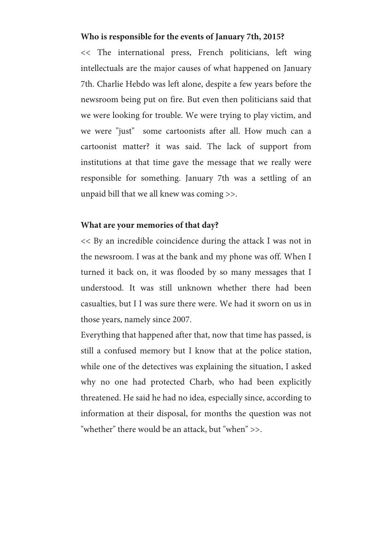#### **Who is responsible for the events of January 7th, 2015?**

<< The international press, French politicians, left wing intellectuals are the major causes of what happened on January 7th. Charlie Hebdo was left alone, despite a few years before the newsroom being put on fire. But even then politicians said that we were looking for trouble. We were trying to play victim, and we were "just" some cartoonists after all. How much can a cartoonist matter? it was said. The lack of support from institutions at that time gave the message that we really were responsible for something. January 7th was a settling of an unpaid bill that we all knew was coming >>.

#### **What are your memories of that day?**

<< By an incredible coincidence during the attack I was not in the newsroom. I was at the bank and my phone was off. When I turned it back on, it was flooded by so many messages that I understood. It was still unknown whether there had been casualties, but I I was sure there were. We had it sworn on us in those years, namely since 2007.

Everything that happened after that, now that time has passed, is still a confused memory but I know that at the police station, while one of the detectives was explaining the situation, I asked why no one had protected Charb, who had been explicitly threatened. He said he had no idea, especially since, according to information at their disposal, for months the question was not "whether" there would be an attack, but "when" >>.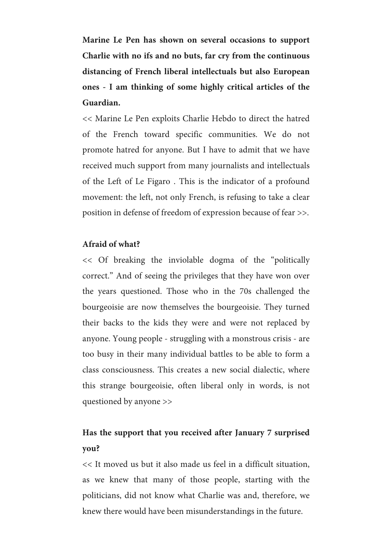**Marine Le Pen has shown on several occasions to support Charlie with no ifs and no buts, far cry from the continuous distancing of French liberal intellectuals but also European ones - I am thinking of some highly critical articles of the Guardian.**

<< Marine Le Pen exploits Charlie Hebdo to direct the hatred of the French toward specific communities. We do not promote hatred for anyone. But I have to admit that we have received much support from many journalists and intellectuals of the Left of Le Figaro . This is the indicator of a profound movement: the left, not only French, is refusing to take a clear position in defense of freedom of expression because of fear >>.

#### **Afraid of what?**

<< Of breaking the inviolable dogma of the "politically correct." And of seeing the privileges that they have won over the years questioned. Those who in the 70s challenged the bourgeoisie are now themselves the bourgeoisie. They turned their backs to the kids they were and were not replaced by anyone. Young people - struggling with a monstrous crisis - are too busy in their many individual battles to be able to form a class consciousness. This creates a new social dialectic, where this strange bourgeoisie, often liberal only in words, is not questioned by anyone >>

### **Has the support that you received after January 7 surprised you?**

<< It moved us but it also made us feel in a difficult situation, as we knew that many of those people, starting with the politicians, did not know what Charlie was and, therefore, we knew there would have been misunderstandings in the future.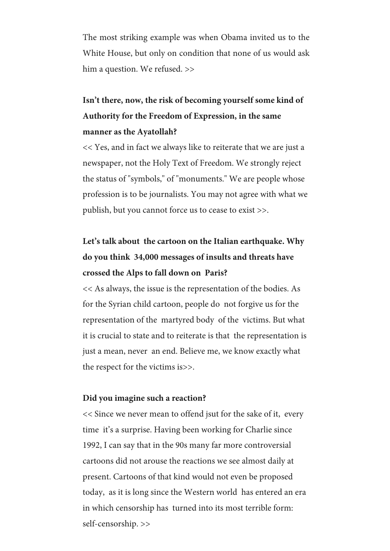The most striking example was when Obama invited us to the White House, but only on condition that none of us would ask him a question. We refused. >>

# **Isn't there, now, the risk of becoming yourself some kind of Authority for the Freedom of Expression, in the same manner as the Ayatollah?**

<< Yes, and in fact we always like to reiterate that we are just a newspaper, not the Holy Text of Freedom. We strongly reject the status of "symbols," of "monuments." We are people whose profession is to be journalists. You may not agree with what we publish, but you cannot force us to cease to exist >>.

# **Let's talk about the cartoon on the Italian earthquake. Why do you think 34,000 messages of insults and threats have crossed the Alps to fall down on Paris?**

<< As always, the issue is the representation of the bodies. As for the Syrian child cartoon, people do not forgive us for the representation of the martyred body of the victims. But what it is crucial to state and to reiterate is that the representation is just a mean, never an end. Believe me, we know exactly what the respect for the victims is>>.

#### **Did you imagine such a reaction?**

<< Since we never mean to offend jsut for the sake of it, every time it's a surprise. Having been working for Charlie since 1992, I can say that in the 90s many far more controversial cartoons did not arouse the reactions we see almost daily at present. Cartoons of that kind would not even be proposed today, as it is long since the Western world has entered an era in which censorship has turned into its most terrible form: self-censorship. >>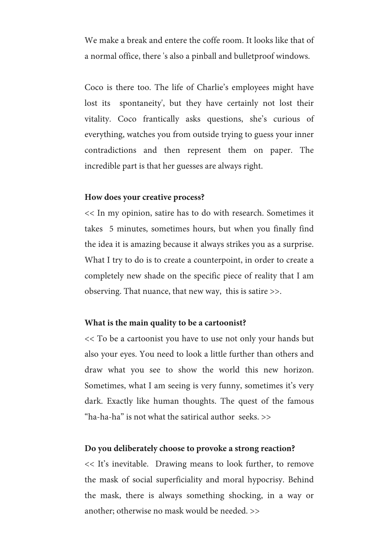We make a break and entere the coffe room. It looks like that of a normal office, there 's also a pinball and bulletproof windows.

Coco is there too. The life of Charlie's employees might have lost its spontaneity', but they have certainly not lost their vitality. Coco frantically asks questions, she's curious of everything, watches you from outside trying to guess your inner contradictions and then represent them on paper. The incredible part is that her guesses are always right.

#### **How does your creative process?**

<< In my opinion, satire has to do with research. Sometimes it takes 5 minutes, sometimes hours, but when you finally find the idea it is amazing because it always strikes you as a surprise. What I try to do is to create a counterpoint, in order to create a completely new shade on the specific piece of reality that I am observing. That nuance, that new way, this is satire >>.

#### **What is the main quality to be a cartoonist?**

<< To be a cartoonist you have to use not only your hands but also your eyes. You need to look a little further than others and draw what you see to show the world this new horizon. Sometimes, what I am seeing is very funny, sometimes it's very dark. Exactly like human thoughts. The quest of the famous "ha-ha-ha" is not what the satirical author seeks.  $\gg$ 

#### **Do you deliberately choose to provoke a strong reaction?**

<< It's inevitable. Drawing means to look further, to remove the mask of social superficiality and moral hypocrisy. Behind the mask, there is always something shocking, in a way or another; otherwise no mask would be needed. >>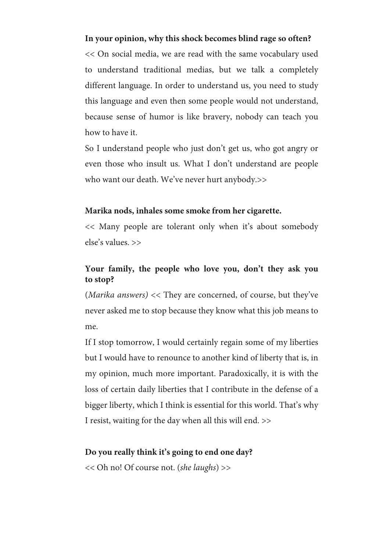#### **In your opinion, why this shock becomes blind rage so often?**

<< On social media, we are read with the same vocabulary used to understand traditional medias, but we talk a completely different language. In order to understand us, you need to study this language and even then some people would not understand, because sense of humor is like bravery, nobody can teach you how to have it.

So I understand people who just don't get us, who got angry or even those who insult us. What I don't understand are people who want our death. We've never hurt anybody.>>

#### **Marika nods, inhales some smoke from her cigarette.**

<< Many people are tolerant only when it's about somebody else's values. >>

#### **Your family, the people who love you, don't they ask you to stop?**

(*Marika answers)* << They are concerned, of course, but they've never asked me to stop because they know what this job means to me.

If I stop tomorrow, I would certainly regain some of my liberties but I would have to renounce to another kind of liberty that is, in my opinion, much more important. Paradoxically, it is with the loss of certain daily liberties that I contribute in the defense of a bigger liberty, which I think is essential for this world. That's why I resist, waiting for the day when all this will end. >>

#### **Do you really think it's going to end one day?**

<< Oh no! Of course not. (*she laughs*) >>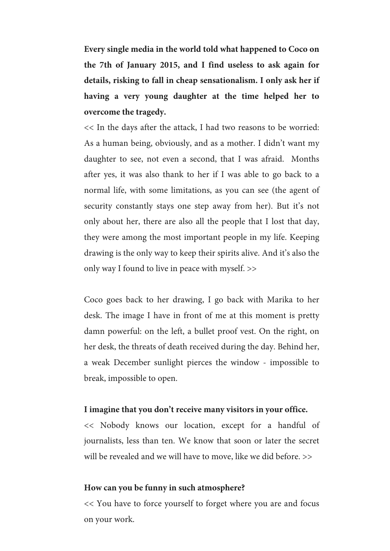**Every single media in the world told what happened to Coco on the 7th of January 2015, and I find useless to ask again for details, risking to fall in cheap sensationalism. I only ask her if having a very young daughter at the time helped her to overcome the tragedy.** 

<< In the days after the attack, I had two reasons to be worried: As a human being, obviously, and as a mother. I didn't want my daughter to see, not even a second, that I was afraid. Months after yes, it was also thank to her if I was able to go back to a normal life, with some limitations, as you can see (the agent of security constantly stays one step away from her). But it's not only about her, there are also all the people that I lost that day, they were among the most important people in my life. Keeping drawing is the only way to keep their spirits alive. And it's also the only way I found to live in peace with myself. >>

Coco goes back to her drawing, I go back with Marika to her desk. The image I have in front of me at this moment is pretty damn powerful: on the left, a bullet proof vest. On the right, on her desk, the threats of death received during the day. Behind her, a weak December sunlight pierces the window - impossible to break, impossible to open.

#### **I imagine that you don't receive many visitors in your office.**

<< Nobody knows our location, except for a handful of journalists, less than ten. We know that soon or later the secret will be revealed and we will have to move, like we did before.  $\gg$ 

#### **How can you be funny in such atmosphere?**

<< You have to force yourself to forget where you are and focus on your work.